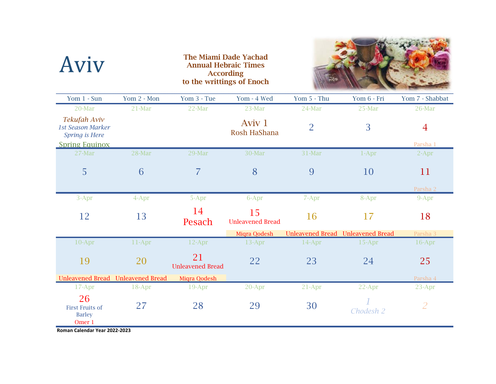| Aviv                                                                                     |             | <b>Annual Hebraic Times</b><br>to the writtings of Enoch | <b>The Miami Dade Yachad</b><br><b>According</b> |                |                                          |                   |
|------------------------------------------------------------------------------------------|-------------|----------------------------------------------------------|--------------------------------------------------|----------------|------------------------------------------|-------------------|
| Yom 1 - Sun                                                                              | Yom 2 - Mon | Yom 3 - Tue                                              | Yom - 4 Wed                                      | Yom 5 - Thu    | Yom 6 - Fri                              | Yom 7 - Shabbat   |
| 20-Mar                                                                                   | 21-Mar      | 22-Mar                                                   | 23-Mar                                           | 24-Mar         | 25-Mar                                   | 26-Mar            |
| Tekufah Aviv<br><b>1st Season Marker</b><br>Spring is Here                               |             |                                                          | Aviv 1<br>Rosh HaShana                           | $\overline{2}$ | 3                                        | $\overline{4}$    |
| <b>Spring Equinox</b><br>27-Mar                                                          | 28-Mar      | 29-Mar                                                   | 30-Mar                                           | 31-Mar         | $1-Apr$                                  | Parsha 1<br>2-Apr |
|                                                                                          |             |                                                          |                                                  |                |                                          |                   |
| 5                                                                                        | 6           | $\overline{7}$                                           | 8                                                | 9              | 10                                       | 11                |
|                                                                                          |             |                                                          |                                                  |                |                                          | Parsha 2          |
| 3-Apr                                                                                    | $4$ -Apr    | 5-Apr                                                    | 6-Apr                                            | 7-Apr          | 8-Apr                                    | 9-Apr             |
| 12                                                                                       | 13          | 14<br>Pesach                                             | 15<br><b>Unleavened Bread</b>                    | 16             | 17                                       | 18                |
|                                                                                          |             |                                                          | Miqra Qodesh                                     |                | <b>Unleavened Bread Unleavened Bread</b> | Parsha 3          |
| $10-Apr$                                                                                 | 11-Apr      | 12-Apr                                                   | 13-Apr                                           | $14$ -Apr      | 15-Apr                                   | 16-Apr            |
| 19                                                                                       | 20          | 21<br><b>Unleavened Bread</b>                            | 22                                               | 23             | 24                                       | 25                |
| Unleavened Bread Unleavened Bread                                                        |             | Miqra Qodesh                                             |                                                  |                |                                          | Parsha 4          |
| 17-Apr                                                                                   | 18-Apr      | 19-Apr                                                   | 20-Apr                                           | 21-Apr         | 22-Apr                                   | 23-Apr            |
| 26<br><b>First Fruits of</b><br><b>Barley</b><br>Omer 1<br>Roman Calendar Year 2022-2023 | 27          | 28                                                       | 29                                               | 30             | Chodesh 2                                | $\overline{2}$    |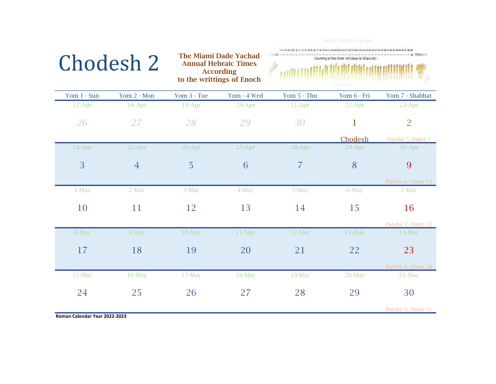| Chodesh 2                     |                | <b>The Miami Dade Yachad</b><br><b>Annual Hebraic Times</b><br><b>According</b><br>to the writtings of Enoch |             | Seven Weeks of Days<br>18 19 20 21 22 23 24 25 26 27 28 29 31 32 33 34 35 36 37 38 39 39 40 41 42 43 44 45 46 47 48<br><b>Shavu'ol</b><br>Counting of the Omer (49 days to Shavu'ot) |             |                   |
|-------------------------------|----------------|--------------------------------------------------------------------------------------------------------------|-------------|--------------------------------------------------------------------------------------------------------------------------------------------------------------------------------------|-------------|-------------------|
| Yom 1 - Sun                   | Yom 2 - Mon    | Yom 3 - Tue                                                                                                  | Yom - 4 Wed | Yom 5 - Thu                                                                                                                                                                          | Yom 6 - Fri | Yom 7 - Shabbat   |
| 17-Apr                        | 18-Apr         | 19-Apr                                                                                                       | 20-Apr      | 21-Apr                                                                                                                                                                               | 22-Apr      | 23-Apr            |
| 26                            | 27             | 28                                                                                                           | 29          | 30                                                                                                                                                                                   | 1           | $\overline{2}$    |
|                               |                |                                                                                                              |             |                                                                                                                                                                                      | Chodesh     | Parsha 5, Omer 7  |
| 24-Apr                        | 25-Apr         | 26-Apr                                                                                                       | 27-Apr      | 28-Apr                                                                                                                                                                               | 29-Apr      | 30-Apr            |
| 3                             | $\overline{4}$ | 5                                                                                                            | 6           | $\overline{7}$                                                                                                                                                                       | 8           | 9                 |
|                               |                |                                                                                                              |             |                                                                                                                                                                                      |             | Parsha 6, Omer 14 |
| $1-May$                       | $2-May$        | 3-May                                                                                                        | 4-May       | 5-May                                                                                                                                                                                | 6-May       | 7-May             |
| 10                            | 11             | 12                                                                                                           | 13          | 14                                                                                                                                                                                   | 15          | 16                |
|                               |                |                                                                                                              |             |                                                                                                                                                                                      |             | Parsha 7, Omer 21 |
| 8-May                         | 9-May          | $10$ -May                                                                                                    | $11$ -May   | $12$ -May                                                                                                                                                                            | $13$ -May   | 14-May            |
| 17                            | 18             | 19                                                                                                           | 20          | 21                                                                                                                                                                                   | 22          | 23                |
|                               |                |                                                                                                              |             |                                                                                                                                                                                      |             | Parsha 8, Omer 28 |
| $15$ -May                     | $16$ -May      | $17-May$                                                                                                     | $18$ -May   | 19-May                                                                                                                                                                               | 20-May      | $21$ -May         |
| 24                            | 25             | 26                                                                                                           | 27          | 28                                                                                                                                                                                   | 29          | 30                |
| Roman Calendar Year 2022-2023 |                |                                                                                                              |             |                                                                                                                                                                                      |             | Parsha 9, Omer 35 |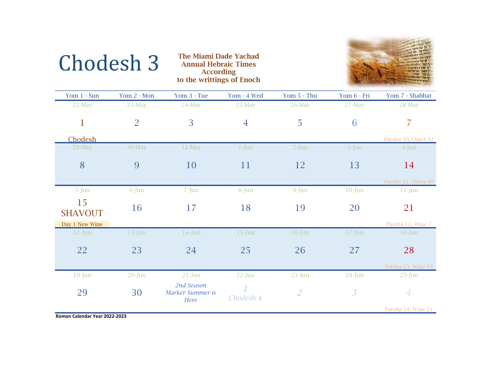| <b>Chodesh 3</b> |  |
|------------------|--|
|------------------|--|

**3** The Miami Dade Yachad Annual Hebraic Times According to the writtings of Enoch



| Yom 1 - Sun          | Yom 2 - Mon    | Yom 3 - Tue                            | Yom - 4 Wed    | Yom 5 - Thu    | Yom 6 - Fri    | Yom 7 - Shabbat    |
|----------------------|----------------|----------------------------------------|----------------|----------------|----------------|--------------------|
| 22-May               | $23$ -May      | $24$ -May                              | $25$ -May      | $26$ -May      | $27$ -May      | 28-May             |
| $\mathbf{1}$         | $\overline{2}$ | 3                                      | $\overline{4}$ | 5              | 6              | 7                  |
| Chodesh              |                |                                        |                |                |                | Parsha 10, Omer 42 |
| 29-May               | 30-May         | 31-May                                 | $1-J$ un       | $2-Jun$        | 3-Jun          | $4$ -Jun           |
| 8                    | 9              | <b>10</b>                              | 11             | <b>12</b>      | 13             | 14                 |
|                      |                |                                        |                |                |                | Parsha 11, Omer 49 |
| 5-Jun                | $6$ -Jun       | $7 - Jun$                              | 8-Jun          | 9-Jun          | $10$ -Jun      | $11$ -Jun          |
| 15<br><b>SHAVOUT</b> | 16             | 17                                     | 18             | 19             | 20             | 21                 |
| Day 1 New Wine       |                |                                        |                |                |                | Parsha 12, Wine 7  |
| $12$ -Jun            | $13$ -Jun      | $14$ -Jun                              | $15 - Jun$     | $16$ -Jun      | $17 - Jun$     | $18$ -Jun          |
| 22                   | 23             | 24                                     | 25             | 26             | 27             | 28                 |
|                      |                |                                        |                |                |                | Parsha 13, Wine 14 |
| $19$ -Jun            | $20$ -Jun      | $21 - Jun$                             | $22-Jun$       | $23$ -Jun      | $24$ -Jun      | $25$ -Jun          |
| 29                   | 30             | 2nd Season<br>Marker Summer is<br>Here | Chodesh 4      | $\overline{2}$ | $\overline{3}$ | $\boldsymbol{4}$   |
|                      |                |                                        |                |                |                | Parsha 14, Wine 21 |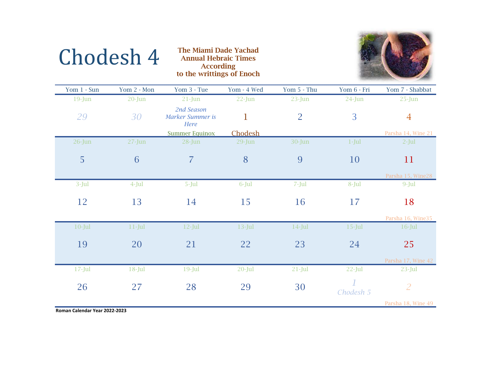

## **4** The Miami Dade Yachad Annual Hebraic Times<br>According to the writtings of Enoch

| Yom 1 - Sun | Yom 2 - Mon | Yom 3 - Tue                            | Yom - 4 Wed  | Yom 5 - Thu    | Yom 6 - Fri | Yom 7 - Shabbat    |
|-------------|-------------|----------------------------------------|--------------|----------------|-------------|--------------------|
| $19$ -Jun   | $20$ -Jun   | $21$ -Jun                              | $22$ -Jun    | $23$ -Jun      | $24$ -Jun   | $25 - Jun$         |
| 29          | 30          | 2nd Season<br>Marker Summer is<br>Here | $\mathbf{1}$ | $\overline{2}$ | 3           | $\overline{4}$     |
|             |             | <b>Summer Equinox</b>                  | Chodesh      |                |             | Parsha 14, Wine 21 |
| $26$ -Jun   | $27 - Jun$  | $28$ -Jun                              | $29$ -Jun    | 30-Jun         | $1-Jul$     | $2-Jul$            |
| 5           | 6           | $\overline{7}$                         | 8            | 9              | 10          | 11                 |
|             |             |                                        |              |                |             |                    |
|             |             |                                        |              |                |             | Parsha 15, Wine28  |
| $3-Jul$     | $4$ -Jul    | 5-Jul                                  | 6-Jul        | 7-Jul          | 8-Jul       | $9-Jul$            |
|             |             |                                        |              |                |             |                    |
| 12          | 13          | 14                                     | 15           | 16             | 17          | 18                 |
|             |             |                                        |              |                |             |                    |
|             |             |                                        |              |                |             | Parsha 16, Wine35  |
| $10$ -Jul   | $11$ -Jul   | $12$ -Jul                              | $13$ -Jul    | $14$ -Jul      | $15$ -Jul   | $16$ -Jul          |
|             |             |                                        |              |                |             |                    |
| 19          | 20          | 21                                     | 22           | 23             | 24          | 25                 |
|             |             |                                        |              |                |             | Parsha 17, Wine 42 |
| $17 -$ Jul  | $18 -$ Jul  | $19$ -Jul                              | $20 -$ Jul   | $21$ -Jul      | $22$ -Jul   | $23$ -Jul          |
| 26          | 27          | 28                                     | 29           | 30             |             | $\overline{2}$     |
|             |             |                                        |              |                | Chodesh 5   |                    |
|             |             |                                        |              |                |             | Parsha 18, Wine 49 |

**Roman Calendar Year 2022‐2023**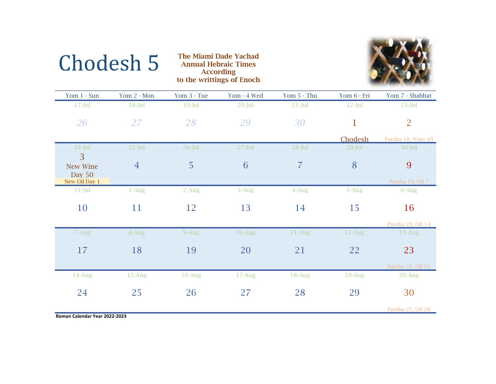

| Yom 1 - Sun                              | Yom 2 - Mon    | Yom 3 - Tue | Yom - 4 Wed | Yom 5 - Thu | Yom 6 - Fri | Yom 7 - Shabbat         |
|------------------------------------------|----------------|-------------|-------------|-------------|-------------|-------------------------|
| $17 -$ Jul                               | $18$ -Jul      | $19$ -Jul   | $20$ -Jul   | $21$ -Jul   | $22$ -Jul   | $23$ -Jul               |
| 26                                       | 27             | 28          | 29          | 30          | $\mathbf 1$ | $\overline{2}$          |
|                                          |                |             |             |             | Chodesh     | Parsha 18, Wine 49      |
| $24$ -Jul                                | $25$ -Jul      | $26$ -Jul   | $27 -$ Jul  | $28$ -Jul   | $29$ -Jul   | $30 -$ Jul              |
| 3<br>New Wine<br>Day 50<br>New Oil Day 1 | $\overline{4}$ | 5           | 6           | 7           | 8           | 9<br>Parsha 19, Oil 7   |
| $31$ -Jul                                | $1-Aug$        | $2-Aug$     | $3-Aug$     | 4-Aug       | 5-Aug       | 6-Aug                   |
| 10                                       | 11             | 12          | 13          | 14          | 15          | 16<br>Parsha 20, Oil 14 |
| 7-Aug                                    | 8-Aug          | $9-Aug$     | $10-Aug$    | $11-Aug$    | $12$ -Aug   | 13-Aug                  |
| 17                                       | 18             | 19          | 20          | 21          | 22          | 23                      |
|                                          |                |             |             |             |             | Parsha 21, Oil 21       |
| 14-Aug                                   | $15$ -Aug      | $16$ -Aug   | $17$ -Aug   | 18-Aug      | $19$ -Aug   | $20$ -Aug               |
| 24                                       | 25             | 26          | 27          | 28          | 29          | 30                      |
|                                          |                |             |             |             |             | Parsha 22, Oil 28       |

The Miami Dade Yachad Annual Hebraic Times According

to the writtings of Enoch

**Roman Calendar Year 2022‐2023**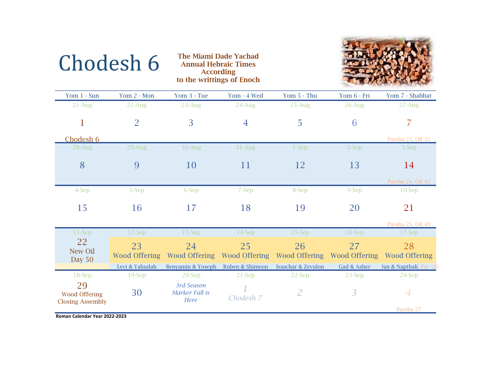

| Yom 1 - Sun                                           | Yom 2 - Mon                | Yom 3 - Tue                          | Yom - 4 Wed         | Yom 5 - Thu                   | Yom 6 - Fri                | Yom 7 - Shabbat            |
|-------------------------------------------------------|----------------------------|--------------------------------------|---------------------|-------------------------------|----------------------------|----------------------------|
| $21-Aug$                                              | $22$ -Aug                  | $23$ -Aug                            | $24$ -Aug           | $25$ -Aug                     | $26$ -Aug                  | $27 - Aug$                 |
| $\mathbf{1}$                                          | $\overline{2}$             | 3                                    | $\overline{4}$      | 5                             | 6                          |                            |
| Chodesh 6                                             |                            |                                      |                     |                               |                            | Parsha 23, Oil 35          |
| $28$ -Aug                                             | 29-Aug                     | 30-Aug                               | $31-Aug$            | $1-Sep$                       | $2-Sep$                    | 3-Sep                      |
| 8                                                     | 9                          | 10                                   | 11                  | 12                            | 13                         | 14                         |
|                                                       |                            |                                      |                     |                               |                            | Parsha 24, Oil 42          |
| 4-Sep                                                 | 5-Sep                      | 6-Sep                                | 7-Sep               | 8-Sep                         | 9-Sep                      | $10-$ Sep                  |
| 15                                                    | 16                         | 17                                   | 18                  | 19                            | 20                         | 21                         |
|                                                       |                            |                                      |                     |                               |                            | Parsha 25, Oil 49          |
| 11-Sep                                                | 12-Sep                     | $13-Sep$                             | 14-Sep              | 15-Sep                        | $16-$ Sep                  | 17-Sep                     |
| 22<br>New Oil<br>Day $50$                             | 23<br><b>Wood Offering</b> | 24<br>Wood Offering                  | 25<br>Wood Offering | 26<br><b>Wood Offering</b>    | 27<br><b>Wood Offering</b> | 28<br><b>Wood Offering</b> |
|                                                       | Levi & Yahudah             | Benyamin & Yoseph                    | Ruben & Shimeon     | <b>Issachar &amp; Zevulon</b> | Gad & Asher                | )an & Napthali, Par -26    |
| 18-Sep                                                | $19-$ Sep                  | 20-Sep                               | 21-Sep              | 22-Sep                        | 23-Sep                     | 24-Sep                     |
| 29<br><b>Wood Offering</b><br><b>Closing Assembly</b> | 30                         | 3rd Season<br>Marker Fall is<br>Here | Chodesh 7           | $\overline{2}$                | $\overline{3}$             | $\overline{A}$             |
|                                                       |                            |                                      |                     |                               |                            | Parsha 27                  |

The Miami Dade Yachad<br>
Annual Hebraic Times<br>
According

to the writtings of Enoch

**Roman Calendar Year 2022‐2023**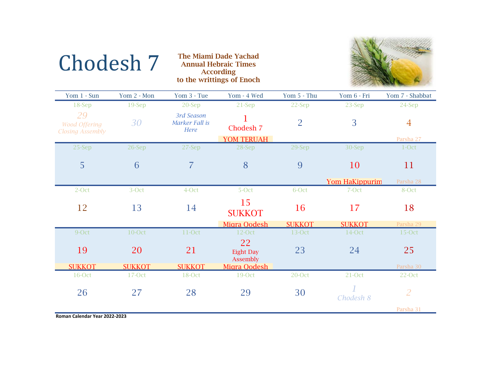

| Yom 1 - Sun                                           | Yom 2 - Mon   | Yom 3 - Tue                          | Yom - 4 Wed                               | Yom 5 - Thu    | Yom 6 - Fri           | Yom 7 - Shabbat |
|-------------------------------------------------------|---------------|--------------------------------------|-------------------------------------------|----------------|-----------------------|-----------------|
| 18-Sep                                                | $19-$ Sep     | 20-Sep                               | 21-Sep                                    | 22-Sep         | 23-Sep                | 24-Sep          |
| 29<br><b>Wood Offering</b><br><b>Closing Assembly</b> | 30            | 3rd Season<br>Marker Fall is<br>Here | 1<br>Chodesh 7                            | $\overline{2}$ | 3                     | $\overline{4}$  |
|                                                       |               |                                      | YOM TERUAH                                |                |                       | Parsha 27       |
| 25-Sep                                                | 26-Sep        | 27-Sep                               | 28-Sep                                    | 29-Sep         | 30-Sep                | 1-Oct           |
| 5                                                     | 6             | $\overline{7}$                       | 8                                         | 9              | 10                    | 11              |
|                                                       |               |                                      |                                           |                | <b>Yom HaKippurim</b> | Parsha 28       |
| 2-Oct                                                 | 3-Oct         | 4-Oct                                | 5-Oct                                     | 6-Oct          | 7-Oct                 | 8-Oct           |
| 12                                                    | 13            | 14                                   | 15<br><b>SUKKOT</b>                       | 16             | 17                    | 18              |
|                                                       |               |                                      | Migra Qodesh                              | <b>SUKKOT</b>  | <b>SUKKOT</b>         | Parsha 29       |
| 9-Oct                                                 | 10-Oct        | 11-Oct                               | $12$ -Oct                                 | 13-Oct         | 14-Oct                | $15$ -Oct       |
| 19                                                    | 20            | 21                                   | 22<br><b>Eight Day</b><br><b>Assembly</b> | 23             | 24                    | 25              |
| <b>SUKKOT</b>                                         | <b>SUKKOT</b> | <b>SUKKOT</b>                        | Migra Oodesh                              |                |                       | Parsha 30       |
| 16-Oct                                                | 17-Oct        | 18-Oct                               | 19-Oct                                    | 20-Oct         | 21-Oct                | $22-Oct$        |
| 26                                                    | 27            | 28                                   | 29                                        | 30             | Chodesh 8             | $\overline{2}$  |
|                                                       |               |                                      |                                           |                |                       | Parsha 31       |

The Miami Dade Yachad<br>
Annual Hebraic Times<br>
According

to the writtings of Enoch

**Roman Calendar Year 2022‐2023**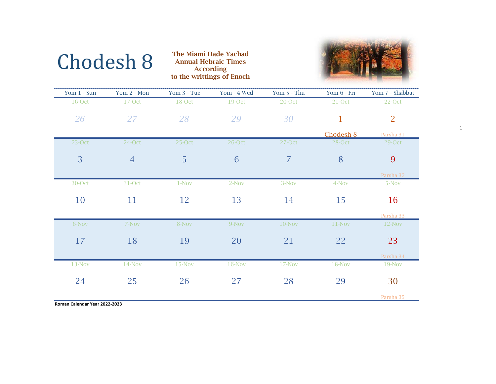

1

| Chodesh 8 | <b>The Miami Dade Yachad</b><br><b>Annual Hebraic Times</b> |
|-----------|-------------------------------------------------------------|
|           | <b>According</b>                                            |
|           | to the writtings of Enoch                                   |

| Yom $1 - Sun$ | Yom 2 - Mon    | Yom 3 - Tue | Yom - 4 Wed | Yom 5 - Thu    | Yom 6 - Fri  | Yom 7 - Shabbat |
|---------------|----------------|-------------|-------------|----------------|--------------|-----------------|
| 16-Oct        | 17-Oct         | 18-Oct      | 19-Oct      | $20$ -Oct      | 21-Oct       | 22-Oct          |
| 26            | 27             | 28          | 29          | 30             | $\mathbf{1}$ | $\overline{2}$  |
|               |                |             |             |                | Chodesh 8    | Parsha 31       |
| $23$ -Oct     | 24-Oct         | $25-Oct$    | 26-Oct      | 27-Oct         | 28-Oct       | 29-Oct          |
| 3             | $\overline{4}$ | 5           | 6           | $\overline{7}$ | 8            | 9               |
|               |                |             |             |                |              | Parsha 32       |
| 30-Oct        | 31-Oct         | $1 - Nov$   | $2-Nov$     | $3-Nov$        | 4-Nov        | 5-Nov           |
| 10            | 11             | 12          | 13          | 14             | 15           | 16              |
|               |                |             |             |                |              | Parsha 33       |
| 6-Nov         | 7-Nov          | 8-Nov       | 9-Nov       | $10$ -Nov      | $11-Nov$     | $12-Nov$        |
| 17            | 18             | 19          | 20          | 21             | 22           | 23              |
|               |                |             |             |                |              | Parsha 34       |
| 13-Nov        | $14-Nov$       | $15-Nov$    | 16-Nov      | $17-Nov$       | $18-Nov$     | 19-Nov          |
| 24            | 25             | 26          | 27          | 28             | 29           | 30              |
|               |                |             |             |                |              | Parsha 35       |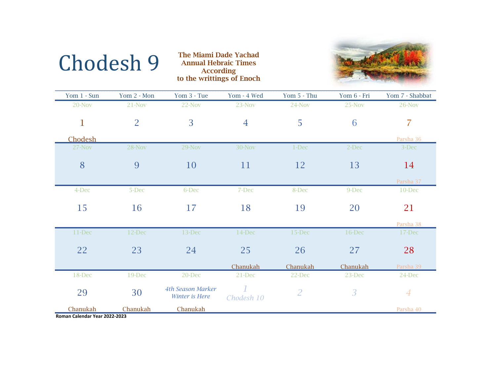

**9** The Miami Dade Yachad Annual Hebraic Times According to the writtings of Enoch



| Yom 1 - Sun                        | Yom 2 - Mon    | Yom 3 - Tue                                | Yom - 4 Wed    | Yom 5 - Thu    | Yom 6 - Fri    | Yom 7 - Shabbat |
|------------------------------------|----------------|--------------------------------------------|----------------|----------------|----------------|-----------------|
| 20-Nov                             | 21-Nov         | $22-Nov$                                   | 23-Nov         | 24-Nov         | 25-Nov         | 26-Nov          |
| $\mathbf{1}$                       | $\overline{2}$ | $\overline{3}$                             | $\overline{4}$ | 5              | 6              | $\overline{7}$  |
| <b>Chodesh</b>                     |                |                                            |                |                |                | Parsha 36       |
| 27-Nov                             | 28-Nov         | 29-Nov                                     | 30-Nov         | 1-Dec          | 2-Dec          | 3-Dec           |
| 8                                  | 9              | 10                                         | 11             | 12             | 13             | 14              |
|                                    |                |                                            |                |                |                | Parsha 37       |
| 4-Dec                              | 5-Dec          | 6-Dec                                      | 7-Dec          | 8-Dec          | 9-Dec          | 10-Dec          |
| 15                                 | 16             | 17                                         | 18             | 19             | 20             | 21              |
|                                    |                |                                            |                |                |                | Parsha 38       |
| $11$ -Dec                          | 12-Dec         | 13-Dec                                     | 14-Dec         | 15-Dec         | 16-Dec         | 17-Dec          |
| 22                                 | 23             | 24                                         | 25             | 26             | 27             | 28              |
|                                    |                |                                            | Chanukah       | Chanukah       | Chanukah       | Parsha 39       |
| 18-Dec                             | 19-Dec         | 20-Dec                                     | 21-Dec         | 22-Dec         | 23-Dec         | 24-Dec          |
| 29                                 | 30             | <b>4th Season Marker</b><br>Winter is Here | Chodesh 10     | $\overline{2}$ | $\overline{3}$ | $\overline{4}$  |
| Chanukah<br>colendar Vasconon pono | Chanukah       | Chanukah                                   |                |                |                | Parsha 40       |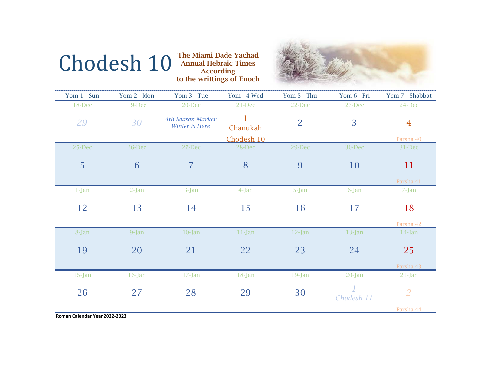## Chodesh 10

**Case The Miami Dade Yachad Annual Hebraic Times According** to the writtings of Enoch



| Yom 1 - Sun | Yom 2 - Mon | Yom 3 - Tue                                | Yom - 4 Wed   | Yom 5 - Thu    | Yom 6 - Fri | Yom 7 - Shabbat |
|-------------|-------------|--------------------------------------------|---------------|----------------|-------------|-----------------|
| 18-Dec      | 19-Dec      | 20-Dec                                     | 21-Dec        | 22-Dec         | 23-Dec      | 24-Dec          |
| 29          | 30          | <b>4th Season Marker</b><br>Winter is Here | 1<br>Chanukah | $\overline{2}$ | 3           | $\overline{4}$  |
|             |             |                                            | Chodesh 10    |                |             | Parsha 40       |
| 25-Dec      | 26-Dec      | 27-Dec                                     | 28-Dec        | 29-Dec         | 30-Dec      | 31-Dec          |
| 5           | 6           | $\overline{7}$                             | 8             | 9              | 10          | 11              |
|             |             |                                            |               |                |             | Parsha 41       |
| $1-Jan$     | $2-Jan$     | 3-Jan                                      | 4-Jan         | 5-Jan          | 6-Jan       | 7-Jan           |
| 12          | 13          | 14                                         | 15            | <b>16</b>      | 17          | 18              |
|             |             |                                            |               |                |             | Parsha 42       |
| 8-Jan       | 9-Jan       | $10$ -Jan                                  | $11$ -Jan     | $12$ -Jan      | $13$ -Jan   | $14$ -Jan       |
| 19          | 20          | 21                                         | 22            | 23             | 24          | 25              |
|             |             |                                            |               |                |             | Parsha 43       |
| $15$ -Jan   | $16$ -Jan   | $17$ -Jan                                  | $18$ -Jan     | $19$ -Jan      | 20-Jan      | $21$ -Jan       |
| 26          | 27          | 28                                         | 29            | 30             | Chodesh 11  | $\overline{2}$  |
|             |             |                                            |               |                |             | Parsha 44       |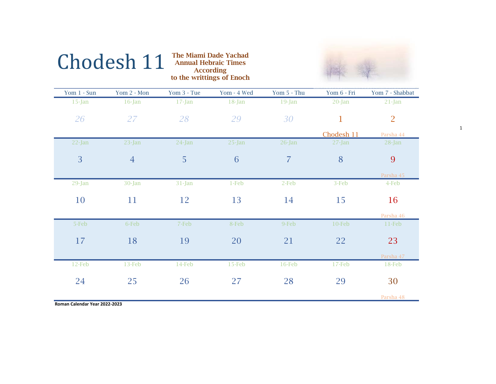

1

## Chodesh 11**The Miami Dade Yachad Annual Hebraic Times According**

| Yom 1 - Sun | Yom 2 - Mon    | Yom 3 - Tue | Yom - 4 Wed | Yom 5 - Thu    | Yom 6 - Fri  | Yom 7 - Shabbat |  |
|-------------|----------------|-------------|-------------|----------------|--------------|-----------------|--|
| $15$ -Jan   | $16$ -Jan      | $17$ -Jan   | $18$ -Jan   | 19-Jan         | $20$ -Jan    | $21$ -Jan       |  |
| 26          | 27             | 28          | 29          | 30             | $\mathbf{1}$ | 2               |  |
|             |                |             |             |                | Chodesh 11   | Parsha 44       |  |
| $22$ -Jan   | $23$ -Jan      | $24$ -Jan   | $25 - Jan$  | $26$ -Jan      | $27 - Jan$   | $28$ -Jan       |  |
| 3           | $\overline{4}$ | 5           | 6           | $\overline{7}$ | 8            | 9               |  |
|             |                |             |             |                |              | Parsha 45       |  |
| 29-Jan      | 30-Jan         | $31$ -Jan   | $1-Feb$     | 2-Feb          | 3-Feb        | 4-Feb           |  |
| 10          | 11             | 12          | 13          | 14             | 15           | 16              |  |
|             |                |             |             |                |              | Parsha 46       |  |
| 5-Feb       | 6-Feb          | 7-Feb       | 8-Feb       | 9-Feb          | $10$ -Feb    | $11-Feb$        |  |
| 17          | 18             | 19          | 20          | 21             | 22           | 23              |  |
|             |                |             |             |                |              | Parsha 47       |  |
| 12-Feb      | $13-Feb$       | 14-Feb      | $15-Feb$    | 16-Feb         | 17-Feb       | 18-Feb          |  |
| 24          | 25             | 26          | 27          | 28             | 29           | 30              |  |
|             |                |             |             |                |              | Parsha 48       |  |

to the writtings of Enoch